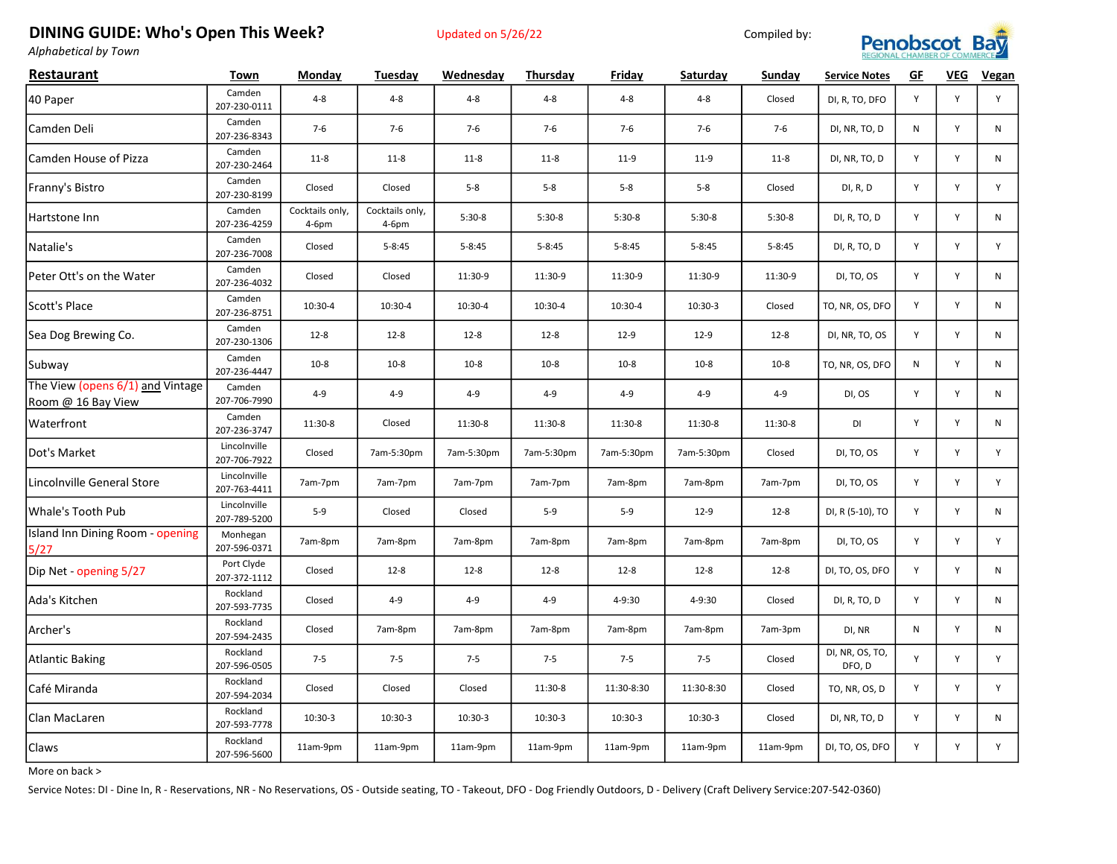## DINING GUIDE: Who's Open This Week? Updated on 5/26/22 Compiled by:





Alphabetical by Town

| Restaurant                                             | Town                         | Monday                   | Tuesday                  | Wednesday  | Thursday   | Friday     | Saturday   | Sunday     | <b>Service Notes</b>      | GF           | VEG | Vegan        |
|--------------------------------------------------------|------------------------------|--------------------------|--------------------------|------------|------------|------------|------------|------------|---------------------------|--------------|-----|--------------|
| 40 Paper                                               | Camden<br>207-230-0111       | $4 - 8$                  | $4 - 8$                  | $4 - 8$    | $4 - 8$    | $4 - 8$    | $4 - 8$    | Closed     | DI, R, TO, DFO            | Y            | Y   | Y            |
| Camden Deli                                            | Camden<br>207-236-8343       | $7-6$                    | $7-6$                    | $7-6$      | $7-6$      | $7-6$      | $7-6$      | $7-6$      | DI, NR, TO, D             | N            | Y   | N            |
| Camden House of Pizza                                  | Camden<br>207-230-2464       | $11-8$                   | $11-8$                   | $11 - 8$   | $11-8$     | $11-9$     | $11-9$     | $11 - 8$   | DI, NR, TO, D             | Y            | Y   | N            |
| Franny's Bistro                                        | Camden<br>207-230-8199       | Closed                   | Closed                   | $5 - 8$    | $5-8$      | $5 - 8$    | $5-8$      | Closed     | DI, R, D                  | Y            | Y   | Y            |
| Hartstone Inn                                          | Camden<br>207-236-4259       | Cocktails only,<br>4-6pm | Cocktails only,<br>4-6pm | $5:30-8$   | $5:30-8$   | $5:30-8$   | $5:30-8$   | $5:30-8$   | DI, R, TO, D              | Y            | Y   | N            |
| Natalie's                                              | Camden<br>207-236-7008       | Closed                   | $5 - 8:45$               | $5 - 8:45$ | $5 - 8:45$ | $5 - 8:45$ | $5 - 8:45$ | $5 - 8:45$ | DI, R, TO, D              | Y            | Y   | Y            |
| Peter Ott's on the Water                               | Camden<br>207-236-4032       | Closed                   | Closed                   | 11:30-9    | 11:30-9    | 11:30-9    | 11:30-9    | 11:30-9    | DI, TO, OS                | Y            | Υ   | $\mathsf{N}$ |
| Scott's Place                                          | Camden<br>207-236-8751       | 10:30-4                  | 10:30-4                  | 10:30-4    | 10:30-4    | 10:30-4    | 10:30-3    | Closed     | TO, NR, OS, DFO           | Y            | Y   | N            |
| Sea Dog Brewing Co.                                    | Camden<br>207-230-1306       | $12 - 8$                 | $12 - 8$                 | $12 - 8$   | $12 - 8$   | $12-9$     | $12-9$     | $12 - 8$   | DI, NR, TO, OS            | Y            | Y   | N            |
| Subway                                                 | Camden<br>207-236-4447       | $10-8$                   | $10-8$                   | $10-8$     | $10 - 8$   | $10 - 8$   | $10-8$     | $10 - 8$   | TO, NR, OS, DFO           | $\mathsf{N}$ | Y   | N            |
| The View (opens 6/1) and Vintage<br>Room @ 16 Bay View | Camden<br>207-706-7990       | $4 - 9$                  | $4 - 9$                  | $4 - 9$    | $4 - 9$    | $4 - 9$    | $4 - 9$    | $4 - 9$    | DI, OS                    | Y            | Y   | N            |
| Waterfront                                             | Camden<br>207-236-3747       | 11:30-8                  | Closed                   | 11:30-8    | 11:30-8    | 11:30-8    | 11:30-8    | 11:30-8    | DI                        | Y            | Y   | $\mathsf{N}$ |
| Dot's Market                                           | Lincolnville<br>207-706-7922 | Closed                   | 7am-5:30pm               | 7am-5:30pm | 7am-5:30pm | 7am-5:30pm | 7am-5:30pm | Closed     | DI, TO, OS                | Y            | Y   | Y            |
| Lincolnville General Store                             | Lincolnville<br>207-763-4411 | 7am-7pm                  | 7am-7pm                  | 7am-7pm    | 7am-7pm    | 7am-8pm    | 7am-8pm    | 7am-7pm    | DI, TO, OS                | Y            | Y   | Y            |
| Whale's Tooth Pub                                      | Lincolnville<br>207-789-5200 | $5 - 9$                  | Closed                   | Closed     | $5-9$      | $5-9$      | $12-9$     | $12 - 8$   | DI, R (5-10), TO          | Y            | Y   | N            |
| Island Inn Dining Room - opening<br>5/27               | Monhegan<br>207-596-0371     | 7am-8pm                  | 7am-8pm                  | 7am-8pm    | 7am-8pm    | 7am-8pm    | 7am-8pm    | 7am-8pm    | DI, TO, OS                | Y            | Y   | Y            |
| Dip Net - opening 5/27                                 | Port Clyde<br>207-372-1112   | Closed                   | $12 - 8$                 | $12 - 8$   | $12 - 8$   | $12 - 8$   | $12 - 8$   | $12 - 8$   | DI, TO, OS, DFO           | Y            | Y   | $\mathsf{N}$ |
| Ada's Kitchen                                          | Rockland<br>207-593-7735     | Closed                   | $4 - 9$                  | $4 - 9$    | $4 - 9$    | 4-9:30     | 4-9:30     | Closed     | DI, R, TO, D              | Y            | Y   | N            |
| Archer's                                               | Rockland<br>207-594-2435     | Closed                   | 7am-8pm                  | 7am-8pm    | 7am-8pm    | 7am-8pm    | 7am-8pm    | 7am-3pm    | DI, NR                    | N            | Υ   | $\mathsf{N}$ |
| <b>Atlantic Baking</b>                                 | Rockland<br>207-596-0505     | $7 - 5$                  | $7 - 5$                  | $7 - 5$    | $7 - 5$    | $7 - 5$    | $7 - 5$    | Closed     | DI, NR, OS, TO,<br>DFO, D | Y            | Y   | Y            |
| Café Miranda                                           | Rockland<br>207-594-2034     | Closed                   | Closed                   | Closed     | 11:30-8    | 11:30-8:30 | 11:30-8:30 | Closed     | TO, NR, OS, D             | Y            | Y   | Y            |
| Clan MacLaren                                          | Rockland<br>207-593-7778     | 10:30-3                  | 10:30-3                  | 10:30-3    | $10:30-3$  | 10:30-3    | 10:30-3    | Closed     | DI, NR, TO, D             | Y            | Y   | N            |
| Claws                                                  | Rockland<br>207-596-5600     | 11am-9pm                 | 11am-9pm                 | 11am-9pm   | 11am-9pm   | 11am-9pm   | 11am-9pm   | 11am-9pm   | DI, TO, OS, DFO           | Y            | Y   | Y            |

More on back >

Service Notes: DI - Dine In, R - Reservations, NR - No Reservations, OS - Outside seating, TO - Takeout, DFO - Dog Friendly Outdoors, D - Delivery (Craft Delivery Service:207-542-0360)